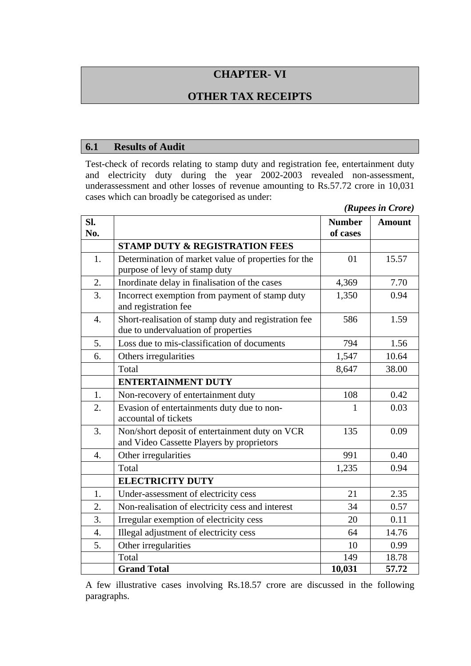# **CHAPTER- VI**

# **OTHER TAX RECEIPTS**

#### **6.1 Results of Audit**

Test-check of records relating to stamp duty and registration fee, entertainment duty and electricity duty during the year 2002-2003 revealed non-assessment, underassessment and other losses of revenue amounting to Rs.57.72 crore in 10,031 cases which can broadly be categorised as under:

| (Rupees in Crore) |  |  |
|-------------------|--|--|
|-------------------|--|--|

| SI.<br>No.       |                                                                                             | <b>Number</b><br>of cases | <b>Amount</b> |
|------------------|---------------------------------------------------------------------------------------------|---------------------------|---------------|
|                  | <b>STAMP DUTY &amp; REGISTRATION FEES</b>                                                   |                           |               |
| 1.               | Determination of market value of properties for the<br>purpose of levy of stamp duty        | 01                        | 15.57         |
| 2.               | Inordinate delay in finalisation of the cases                                               | 4,369                     | 7.70          |
| 3.               | Incorrect exemption from payment of stamp duty<br>and registration fee                      | 1,350                     | 0.94          |
| $\overline{4}$ . | Short-realisation of stamp duty and registration fee<br>due to undervaluation of properties | 586                       | 1.59          |
| 5.               | Loss due to mis-classification of documents                                                 | 794                       | 1.56          |
| 6.               | Others irregularities                                                                       | 1,547                     | 10.64         |
|                  | Total                                                                                       | 8,647                     | 38.00         |
|                  | <b>ENTERTAINMENT DUTY</b>                                                                   |                           |               |
| 1.               | Non-recovery of entertainment duty                                                          | 108                       | 0.42          |
| 2.               | Evasion of entertainments duty due to non-<br>accountal of tickets                          | 1                         | 0.03          |
| 3.               | Non/short deposit of entertainment duty on VCR<br>and Video Cassette Players by proprietors | 135                       | 0.09          |
| $\overline{4}$ . | Other irregularities                                                                        | 991                       | 0.40          |
|                  | Total                                                                                       | 1,235                     | 0.94          |
|                  | <b>ELECTRICITY DUTY</b>                                                                     |                           |               |
| 1.               | Under-assessment of electricity cess                                                        | 21                        | 2.35          |
| 2.               | Non-realisation of electricity cess and interest                                            | 34                        | 0.57          |
| 3.               | Irregular exemption of electricity cess                                                     | 20                        | 0.11          |
| 4.               | Illegal adjustment of electricity cess                                                      | 64                        | 14.76         |
| 5.               | Other irregularities                                                                        | 10                        | 0.99          |
|                  | Total                                                                                       | 149                       | 18.78         |
|                  | <b>Grand Total</b>                                                                          | 10,031                    | 57.72         |

A few illustrative cases involving Rs.18.57 crore are discussed in the following paragraphs.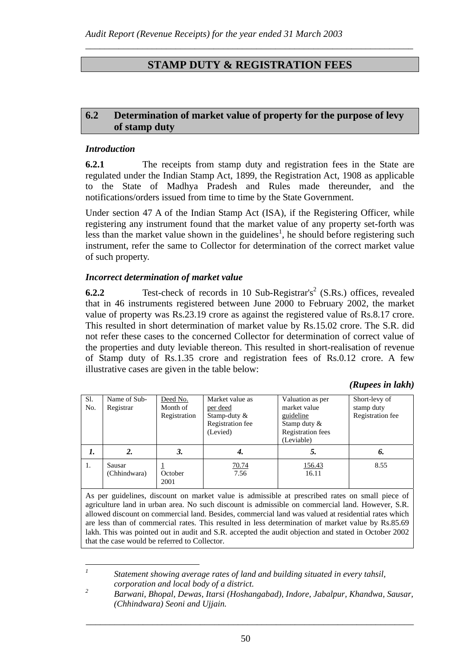# **STAMP DUTY & REGISTRATION FEES**

*\_\_\_\_\_\_\_\_\_\_\_\_\_\_\_\_\_\_\_\_\_\_\_\_\_\_\_\_\_\_\_\_\_\_\_\_\_\_\_\_\_\_\_\_\_\_\_\_\_\_\_\_\_\_\_\_\_\_\_\_\_\_\_\_\_\_\_\_\_* 

## **6.2 Determination of market value of property for the purpose of levy of stamp duty**

#### *Introduction*

*1*

**6.2.1** The receipts from stamp duty and registration fees in the State are regulated under the Indian Stamp Act, 1899, the Registration Act, 1908 as applicable to the State of Madhya Pradesh and Rules made thereunder, and the notifications/orders issued from time to time by the State Government.

Under section 47 A of the Indian Stamp Act (ISA), if the Registering Officer, while registering any instrument found that the market value of any property set-forth was less than the market value shown in the guidelines<sup>1</sup>, he should before registering such instrument, refer the same to Collector for determination of the correct market value of such property.

#### *Incorrect determination of market value*

**6.2.2** Test-check of records in 10 Sub-Registrar's<sup>2</sup> (S.Rs.) offices, revealed that in 46 instruments registered between June 2000 to February 2002, the market value of property was Rs.23.19 crore as against the registered value of Rs.8.17 crore. This resulted in short determination of market value by Rs.15.02 crore. The S.R. did not refer these cases to the concerned Collector for determination of correct value of the properties and duty leviable thereon. This resulted in short-realisation of revenue of Stamp duty of Rs.1.35 crore and registration fees of Rs.0.12 crore. A few illustrative cases are given in the table below:

*(Rupees in lakh)* 

| Sl.<br>No. | Name of Sub-<br>Registrar | Deed No.<br>Month of<br>Registration | Market value as<br>per deed<br>Stamp-duty &<br>Registration fee<br>(Levied) | Valuation as per<br>market value<br>guideline<br>Stamp duty &<br><b>Registration</b> fees<br>(Leviable) | Short-levy of<br>stamp duty<br>Registration fee |
|------------|---------------------------|--------------------------------------|-----------------------------------------------------------------------------|---------------------------------------------------------------------------------------------------------|-------------------------------------------------|
| 1.         | 2.                        | 3.                                   | 4.                                                                          | 5.                                                                                                      | 6.                                              |
| 1.         | Sausar<br>(Chhindwara)    | October<br>2001                      | <u>70.74</u><br>7.56                                                        | 156.43<br>16.11                                                                                         | 8.55                                            |

As per guidelines, discount on market value is admissible at prescribed rates on small piece of agriculture land in urban area. No such discount is admissible on commercial land. However, S.R. allowed discount on commercial land. Besides, commercial land was valued at residential rates which are less than of commercial rates. This resulted in less determination of market value by Rs.85.69 lakh. This was pointed out in audit and S.R. accepted the audit objection and stated in October 2002 that the case would be referred to Collector.

 *Statement showing average rates of land and building situated in every tahsil, corporation and local body of a district.* 

*<sup>2</sup> Barwani, Bhopal, Dewas, Itarsi (Hoshangabad), Indore, Jabalpur, Khandwa, Sausar, (Chhindwara) Seoni and Ujjain.*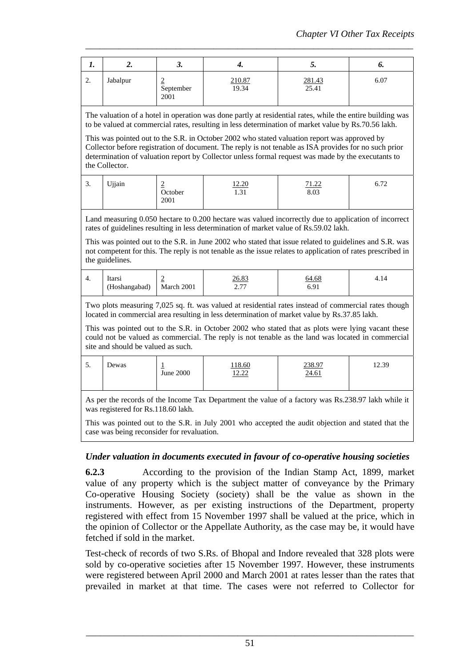|          | "        | J.                     | т.              | J.                     | v.   |
|----------|----------|------------------------|-----------------|------------------------|------|
| <u>.</u> | Jabalpur | ≐<br>September<br>2001 | 210.87<br>19.34 | $\frac{281.43}{25.41}$ | 6.07 |

*\_\_\_\_\_\_\_\_\_\_\_\_\_\_\_\_\_\_\_\_\_\_\_\_\_\_\_\_\_\_\_\_\_\_\_\_\_\_\_\_\_\_\_\_\_\_\_\_\_\_\_\_\_\_\_\_\_\_\_\_\_\_\_\_\_\_\_\_\_* 

The valuation of a hotel in operation was done partly at residential rates, while the entire building was to be valued at commercial rates, resulting in less determination of market value by Rs.70.56 lakh.

This was pointed out to the S.R. in October 2002 who stated valuation report was approved by Collector before registration of document. The reply is not tenable as ISA provides for no such prior determination of valuation report by Collector unless formal request was made by the executants to the Collector.

| $\sqrt{2}$<br>. ب | Ujjain | ≝<br>October<br>2001 | 12.20<br>$\bigcap$ 1<br>1.JI | 71.22<br>1.44<br>8.03 | $-70$<br>0.12 |
|-------------------|--------|----------------------|------------------------------|-----------------------|---------------|
|                   |        |                      |                              |                       |               |

Land measuring 0.050 hectare to 0.200 hectare was valued incorrectly due to application of incorrect rates of guidelines resulting in less determination of market value of Rs.59.02 lakh.

This was pointed out to the S.R. in June 2002 who stated that issue related to guidelines and S.R. was not competent for this. The reply is not tenable as the issue relates to application of rates prescribed in the guidelines.

| 4. | ltarsı<br>(Hoshangabad) | ∼<br>$\sim$<br>March 2001 | <u>26.83</u><br>$\sim$ $\pi$<br>$\sim \cdot$ 1 1 | 64.68<br>ร ด เ<br>∪.∠⊥ | 4.14 |
|----|-------------------------|---------------------------|--------------------------------------------------|------------------------|------|
|----|-------------------------|---------------------------|--------------------------------------------------|------------------------|------|

Two plots measuring 7,025 sq. ft. was valued at residential rates instead of commercial rates though located in commercial area resulting in less determination of market value by Rs.37.85 lakh.

This was pointed out to the S.R. in October 2002 who stated that as plots were lying vacant these could not be valued as commercial. The reply is not tenable as the land was located in commercial site and should be valued as such.

| . ب | Dewas | ∸<br>June 2000 | 118.60<br>1222<br>14.44 | 238.97<br>24.61 | 12.39 |
|-----|-------|----------------|-------------------------|-----------------|-------|
|-----|-------|----------------|-------------------------|-----------------|-------|

As per the records of the Income Tax Department the value of a factory was Rs.238.97 lakh while it was registered for Rs.118.60 lakh.

This was pointed out to the S.R. in July 2001 who accepted the audit objection and stated that the case was being reconsider for revaluation.

#### *Under valuation in documents executed in favour of co-operative housing societies*

**6.2.3** According to the provision of the Indian Stamp Act, 1899, market value of any property which is the subject matter of conveyance by the Primary Co-operative Housing Society (society) shall be the value as shown in the instruments. However, as per existing instructions of the Department, property registered with effect from 15 November 1997 shall be valued at the price, which in the opinion of Collector or the Appellate Authority, as the case may be, it would have fetched if sold in the market.

Test-check of records of two S.Rs. of Bhopal and Indore revealed that 328 plots were sold by co-operative societies after 15 November 1997. However, these instruments were registered between April 2000 and March 2001 at rates lesser than the rates that prevailed in market at that time. The cases were not referred to Collector for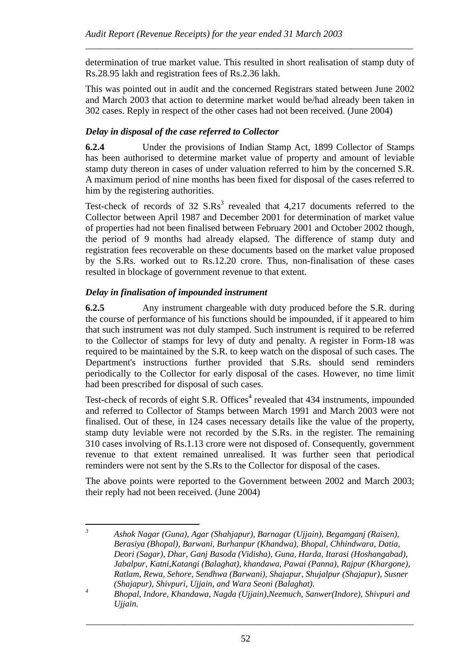determination of true market value. This resulted in short realisation of stamp duty of Rs.28.95 lakh and registration fees of Rs.2.36 lakh.

*\_\_\_\_\_\_\_\_\_\_\_\_\_\_\_\_\_\_\_\_\_\_\_\_\_\_\_\_\_\_\_\_\_\_\_\_\_\_\_\_\_\_\_\_\_\_\_\_\_\_\_\_\_\_\_\_\_\_\_\_\_\_\_\_\_\_\_\_\_* 

This was pointed out in audit and the concerned Registrars stated between June 2002 and March 2003 that action to determine market would be/had already been taken in 302 cases. Reply in respect of the other cases had not been received. (June 2004)

# *Delay in disposal of the case referred to Collector*

**6.2.4** Under the provisions of Indian Stamp Act, 1899 Collector of Stamps has been authorised to determine market value of property and amount of leviable stamp duty thereon in cases of under valuation referred to him by the concerned S.R. A maximum period of nine months has been fixed for disposal of the cases referred to him by the registering authorities.

Test-check of records of 32  $S.Rs<sup>3</sup>$  revealed that 4,217 documents referred to the Collector between April 1987 and December 2001 for determination of market value of properties had not been finalised between February 2001 and October 2002 though, the period of 9 months had already elapsed. The difference of stamp duty and registration fees recoverable on these documents based on the market value proposed by the S.Rs. worked out to Rs.12.20 crore. Thus, non-finalisation of these cases resulted in blockage of government revenue to that extent.

## *Delay in finalisation of impounded instrument*

**6.2.5** Any instrument chargeable with duty produced before the S.R. during the course of performance of his functions should be impounded, if it appeared to him that such instrument was not duly stamped. Such instrument is required to be referred to the Collector of stamps for levy of duty and penalty. A register in Form-18 was required to be maintained by the S.R. to keep watch on the disposal of such cases. The Department's instructions further provided that S.Rs. should send reminders periodically to the Collector for early disposal of the cases. However, no time limit had been prescribed for disposal of such cases.

Test-check of records of eight S.R. Offices<sup>4</sup> revealed that 434 instruments, impounded and referred to Collector of Stamps between March 1991 and March 2003 were not finalised. Out of these, in 124 cases necessary details like the value of the property, stamp duty leviable were not recorded by the S.Rs. in the register. The remaining 310 cases involving of Rs.1.13 crore were not disposed of. Consequently, government revenue to that extent remained unrealised. It was further seen that periodical reminders were not sent by the S.Rs to the Collector for disposal of the cases.

The above points were reported to the Government between 2002 and March 2003; their reply had not been received. (June 2004)

 *3 Ashok Nagar (Guna), Agar (Shahjapur), Barnagar (Ujjain), Begamganj (Raisen), Berasiya (Bhopal), Barwani, Burhanpur (Khandwa), Bhopal, Chhindwara, Datia, Deori (Sagar), Dhar, Ganj Basoda (Vidisha), Guna, Harda, Itarasi (Hoshangabad), Jabalpur, Katni,Katangi (Balaghat), khandawa, Pawai (Panna), Rajpur (Khargone), Ratlam, Rewa, Sehore, Sendhwa (Barwani), Shajapur, Shujalpur (Shajapur), Susner (Shajapur), Shivpuri, Ujjain, and Wara Seoni (Balaghat).* 

*<sup>4</sup> Bhopal, Indore, Khandawa, Nagda (Ujjain),Neemuch, Sanwer(Indore), Shivpuri and Ujjain.*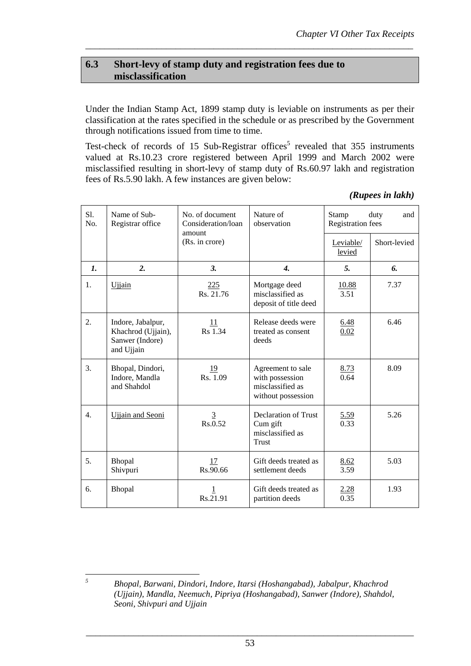## **6.3 Short-levy of stamp duty and registration fees due to misclassification**

Under the Indian Stamp Act, 1899 stamp duty is leviable on instruments as per their classification at the rates specified in the schedule or as prescribed by the Government through notifications issued from time to time.

*\_\_\_\_\_\_\_\_\_\_\_\_\_\_\_\_\_\_\_\_\_\_\_\_\_\_\_\_\_\_\_\_\_\_\_\_\_\_\_\_\_\_\_\_\_\_\_\_\_\_\_\_\_\_\_\_\_\_\_\_\_\_\_\_\_\_\_\_\_* 

Test-check of records of 15 Sub-Registrar offices<sup>5</sup> revealed that  $355$  instruments valued at Rs.10.23 crore registered between April 1999 and March 2002 were misclassified resulting in short-levy of stamp duty of Rs.60.97 lakh and registration fees of Rs.5.90 lakh. A few instances are given below:

| S1.<br>No.     | Name of Sub-<br>Registrar office                                         | No. of document<br>Consideration/loan<br>amount | Nature of<br>observation                                                       | duty<br>Stamp<br>and<br><b>Registration fees</b> |              |
|----------------|--------------------------------------------------------------------------|-------------------------------------------------|--------------------------------------------------------------------------------|--------------------------------------------------|--------------|
|                |                                                                          | (Rs. in crore)                                  |                                                                                | Leviable/<br>levied                              | Short-levied |
| $\mathbf{I}$ . | 2.                                                                       | 3.                                              | $\boldsymbol{4}$ .                                                             | 5.                                               | 6.           |
| 1.             | <b>Ujjain</b>                                                            | 225<br>Rs. 21.76                                | Mortgage deed<br>misclassified as<br>deposit of title deed                     | 10.88<br>3.51                                    | 7.37         |
| 2.             | Indore, Jabalpur,<br>Khachrod (Ujjain),<br>Sanwer (Indore)<br>and Ujjain | 11<br>Rs 1.34                                   | Release deeds were<br>treated as consent<br>deeds                              | 6.48<br>0.02                                     | 6.46         |
| 3.             | Bhopal, Dindori,<br>Indore, Mandla<br>and Shahdol                        | <u>19</u><br>Rs. 1.09                           | Agreement to sale<br>with possession<br>misclassified as<br>without possession | <u>8.73</u><br>0.64                              | 8.09         |
| 4.             | <b>Ujjain and Seoni</b>                                                  | $\overline{3}$<br>Rs.0.52                       | Declaration of Trust<br>Cum gift<br>misclassified as<br><b>Trust</b>           | <u>5.59</u><br>0.33                              | 5.26         |
| 5.             | Bhopal<br>Shivpuri                                                       | 17<br>Rs.90.66                                  | Gift deeds treated as<br>settlement deeds                                      | 8.62<br>3.59                                     | 5.03         |
| 6.             | Bhopal                                                                   | 1<br>Rs.21.91                                   | Gift deeds treated as<br>partition deeds                                       | 2.28<br>0.35                                     | 1.93         |

*(Rupees in lakh)* 

*5*

*Bhopal, Barwani, Dindori, Indore, Itarsi (Hoshangabad), Jabalpur, Khachrod (Ujjain), Mandla, Neemuch, Pipriya (Hoshangabad), Sanwer (Indore), Shahdol, Seoni, Shivpuri and Ujjain*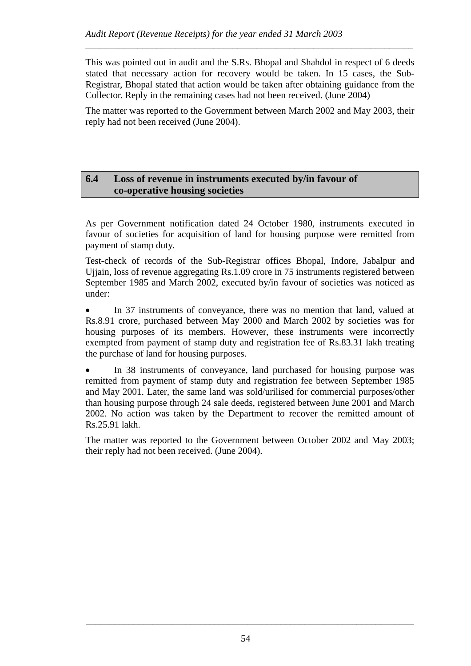This was pointed out in audit and the S.Rs. Bhopal and Shahdol in respect of 6 deeds stated that necessary action for recovery would be taken. In 15 cases, the Sub-Registrar, Bhopal stated that action would be taken after obtaining guidance from the Collector. Reply in the remaining cases had not been received. (June 2004)

*\_\_\_\_\_\_\_\_\_\_\_\_\_\_\_\_\_\_\_\_\_\_\_\_\_\_\_\_\_\_\_\_\_\_\_\_\_\_\_\_\_\_\_\_\_\_\_\_\_\_\_\_\_\_\_\_\_\_\_\_\_\_\_\_\_\_\_\_\_* 

The matter was reported to the Government between March 2002 and May 2003, their reply had not been received (June 2004).

### **6.4 Loss of revenue in instruments executed by/in favour of co-operative housing societies**

As per Government notification dated 24 October 1980, instruments executed in favour of societies for acquisition of land for housing purpose were remitted from payment of stamp duty.

Test-check of records of the Sub-Registrar offices Bhopal, Indore, Jabalpur and Ujjain, loss of revenue aggregating Rs.1.09 crore in 75 instruments registered between September 1985 and March 2002, executed by/in favour of societies was noticed as under:

• In 37 instruments of conveyance, there was no mention that land, valued at Rs.8.91 crore, purchased between May 2000 and March 2002 by societies was for housing purposes of its members. However, these instruments were incorrectly exempted from payment of stamp duty and registration fee of Rs.83.31 lakh treating the purchase of land for housing purposes.

• In 38 instruments of conveyance, land purchased for housing purpose was remitted from payment of stamp duty and registration fee between September 1985 and May 2001. Later, the same land was sold/urilised for commercial purposes/other than housing purpose through 24 sale deeds, registered between June 2001 and March 2002. No action was taken by the Department to recover the remitted amount of Rs.25.91 lakh.

The matter was reported to the Government between October 2002 and May 2003; their reply had not been received. (June 2004).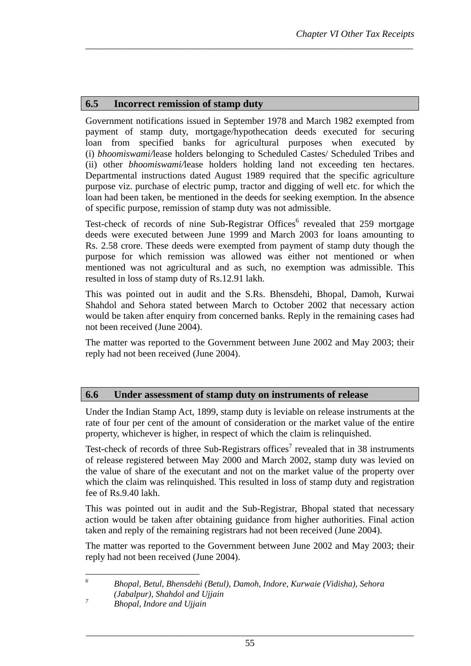# **6.5 Incorrect remission of stamp duty**

Government notifications issued in September 1978 and March 1982 exempted from payment of stamp duty, mortgage/hypothecation deeds executed for securing loan from specified banks for agricultural purposes when executed by (i) *bhoomiswami/*lease holders belonging to Scheduled Castes/ Scheduled Tribes and (ii) other *bhoomiswami/*lease holders holding land not exceeding ten hectares. Departmental instructions dated August 1989 required that the specific agriculture purpose viz. purchase of electric pump, tractor and digging of well etc. for which the loan had been taken, be mentioned in the deeds for seeking exemption. In the absence of specific purpose, remission of stamp duty was not admissible.

*\_\_\_\_\_\_\_\_\_\_\_\_\_\_\_\_\_\_\_\_\_\_\_\_\_\_\_\_\_\_\_\_\_\_\_\_\_\_\_\_\_\_\_\_\_\_\_\_\_\_\_\_\_\_\_\_\_\_\_\_\_\_\_\_\_\_\_\_\_* 

Test-check of records of nine Sub-Registrar Offices $^6$  revealed that 259 mortgage deeds were executed between June 1999 and March 2003 for loans amounting to Rs. 2.58 crore. These deeds were exempted from payment of stamp duty though the purpose for which remission was allowed was either not mentioned or when mentioned was not agricultural and as such, no exemption was admissible. This resulted in loss of stamp duty of Rs.12.91 lakh.

This was pointed out in audit and the S.Rs. Bhensdehi, Bhopal, Damoh, Kurwai Shahdol and Sehora stated between March to October 2002 that necessary action would be taken after enquiry from concerned banks. Reply in the remaining cases had not been received (June 2004).

The matter was reported to the Government between June 2002 and May 2003; their reply had not been received (June 2004).

## **6.6 Under assessment of stamp duty on instruments of release**

Under the Indian Stamp Act, 1899, stamp duty is leviable on release instruments at the rate of four per cent of the amount of consideration or the market value of the entire property, whichever is higher, in respect of which the claim is relinquished.

Test-check of records of three Sub-Registrars offices<sup>7</sup> revealed that in 38 instruments of release registered between May 2000 and March 2002, stamp duty was levied on the value of share of the executant and not on the market value of the property over which the claim was relinquished. This resulted in loss of stamp duty and registration fee of Rs.9.40 lakh.

This was pointed out in audit and the Sub-Registrar, Bhopal stated that necessary action would be taken after obtaining guidance from higher authorities. Final action taken and reply of the remaining registrars had not been received (June 2004).

The matter was reported to the Government between June 2002 and May 2003; their reply had not been received (June 2004).

 $\overline{a}$ *6 Bhopal, Betul, Bhensdehi (Betul), Damoh, Indore, Kurwaie (Vidisha), Sehora (Jabalpur), Shahdol and Ujjain* 

*<sup>7</sup> Bhopal, Indore and Ujjain*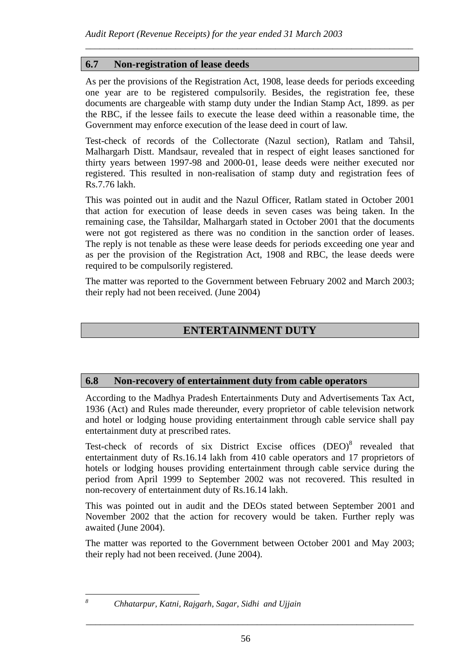## **6.7 Non-registration of lease deeds**

As per the provisions of the Registration Act, 1908, lease deeds for periods exceeding one year are to be registered compulsorily. Besides, the registration fee, these documents are chargeable with stamp duty under the Indian Stamp Act, 1899. as per the RBC, if the lessee fails to execute the lease deed within a reasonable time, the Government may enforce execution of the lease deed in court of law.

*\_\_\_\_\_\_\_\_\_\_\_\_\_\_\_\_\_\_\_\_\_\_\_\_\_\_\_\_\_\_\_\_\_\_\_\_\_\_\_\_\_\_\_\_\_\_\_\_\_\_\_\_\_\_\_\_\_\_\_\_\_\_\_\_\_\_\_\_\_* 

Test-check of records of the Collectorate (Nazul section), Ratlam and Tahsil, Malhargarh Distt. Mandsaur, revealed that in respect of eight leases sanctioned for thirty years between 1997-98 and 2000-01, lease deeds were neither executed nor registered. This resulted in non-realisation of stamp duty and registration fees of Rs.7.76 lakh.

This was pointed out in audit and the Nazul Officer, Ratlam stated in October 2001 that action for execution of lease deeds in seven cases was being taken. In the remaining case, the Tahsildar, Malhargarh stated in October 2001 that the documents were not got registered as there was no condition in the sanction order of leases. The reply is not tenable as these were lease deeds for periods exceeding one year and as per the provision of the Registration Act, 1908 and RBC, the lease deeds were required to be compulsorily registered.

The matter was reported to the Government between February 2002 and March 2003; their reply had not been received. (June 2004)

# **ENTERTAINMENT DUTY**

# **6.8 Non-recovery of entertainment duty from cable operators**

According to the Madhya Pradesh Entertainments Duty and Advertisements Tax Act, 1936 (Act) and Rules made thereunder, every proprietor of cable television network and hotel or lodging house providing entertainment through cable service shall pay entertainment duty at prescribed rates.

Test-check of records of six District Excise offices  $(DEO)^8$  revealed that entertainment duty of Rs.16.14 lakh from 410 cable operators and 17 proprietors of hotels or lodging houses providing entertainment through cable service during the period from April 1999 to September 2002 was not recovered. This resulted in non-recovery of entertainment duty of Rs.16.14 lakh.

This was pointed out in audit and the DEOs stated between September 2001 and November 2002 that the action for recovery would be taken. Further reply was awaited (June 2004).

The matter was reported to the Government between October 2001 and May 2003; their reply had not been received. (June 2004).

 $\overline{a}$ *8*

*Chhatarpur, Katni, Rajgarh, Sagar, Sidhi and Ujjain*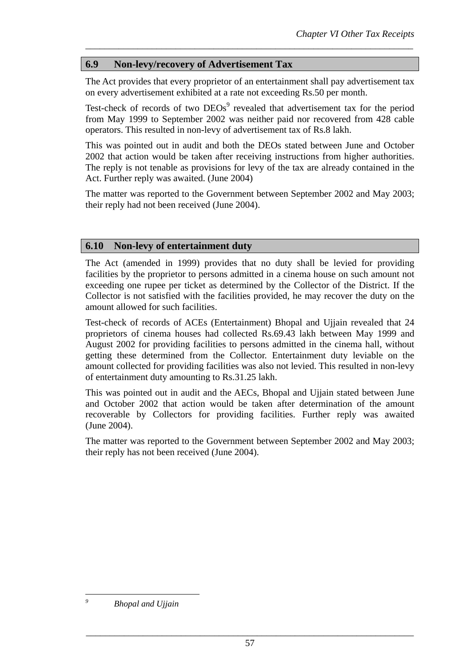## **6.9 Non-levy/recovery of Advertisement Tax**

The Act provides that every proprietor of an entertainment shall pay advertisement tax on every advertisement exhibited at a rate not exceeding Rs.50 per month.

*\_\_\_\_\_\_\_\_\_\_\_\_\_\_\_\_\_\_\_\_\_\_\_\_\_\_\_\_\_\_\_\_\_\_\_\_\_\_\_\_\_\_\_\_\_\_\_\_\_\_\_\_\_\_\_\_\_\_\_\_\_\_\_\_\_\_\_\_\_* 

Test-check of records of two  $DEOs<sup>9</sup>$  revealed that advertisement tax for the period from May 1999 to September 2002 was neither paid nor recovered from 428 cable operators. This resulted in non-levy of advertisement tax of Rs.8 lakh.

This was pointed out in audit and both the DEOs stated between June and October 2002 that action would be taken after receiving instructions from higher authorities. The reply is not tenable as provisions for levy of the tax are already contained in the Act. Further reply was awaited. (June 2004)

The matter was reported to the Government between September 2002 and May 2003; their reply had not been received (June 2004).

### **6.10 Non-levy of entertainment duty**

The Act (amended in 1999) provides that no duty shall be levied for providing facilities by the proprietor to persons admitted in a cinema house on such amount not exceeding one rupee per ticket as determined by the Collector of the District. If the Collector is not satisfied with the facilities provided, he may recover the duty on the amount allowed for such facilities.

Test-check of records of ACEs (Entertainment) Bhopal and Ujjain revealed that 24 proprietors of cinema houses had collected Rs.69.43 lakh between May 1999 and August 2002 for providing facilities to persons admitted in the cinema hall, without getting these determined from the Collector. Entertainment duty leviable on the amount collected for providing facilities was also not levied. This resulted in non-levy of entertainment duty amounting to Rs.31.25 lakh.

This was pointed out in audit and the AECs, Bhopal and Ujjain stated between June and October 2002 that action would be taken after determination of the amount recoverable by Collectors for providing facilities. Further reply was awaited (June 2004).

The matter was reported to the Government between September 2002 and May 2003; their reply has not been received (June 2004).

 *Bhopal and Ujjain* 

 $\overline{a}$ *9*